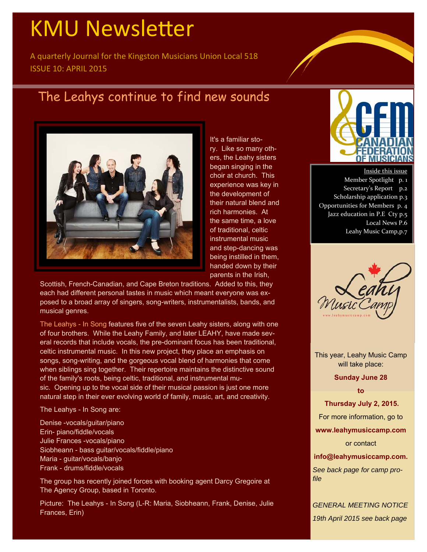# **KMU Newsletter**

A quarterly Journal for the Kingston Musicians Union Local 518 ISSUE 10: APRIL 2015

### The Leahys continue to find new sounds



It's a familiar story. Like so many others, the Leahy sisters began singing in the choir at church. This experience was key in the development of their natural blend and rich harmonies. At the same time, a love of traditional, celtic instrumental music and step-dancing was being instilled in them, handed down by their parents in the Irish,

Scottish, French-Canadian, and Cape Breton traditions. Added to this, they each had different personal tastes in music which meant everyone was exposed to a broad array of singers, song-writers, instrumentalists, bands, and musical genres.

The Leahys - In Song features five of the seven Leahy sisters, along with one of four brothers. While the Leahy Family, and later LEAHY, have made several records that include vocals, the pre-dominant focus has been traditional, celtic instrumental music. In this new project, they place an emphasis on songs, song-writing, and the gorgeous vocal blend of harmonies that come when siblings sing together. Their repertoire maintains the distinctive sound of the family's roots, being celtic, traditional, and instrumental music. Opening up to the vocal side of their musical passion is just one more natural step in their ever evolving world of family, music, art, and creativity.

The Leahys - In Song are:

Denise -vocals/guitar/piano Erin- piano/fiddle/vocals Julie Frances -vocals/piano Siobheann - bass guitar/vocals/fiddle/piano Maria - guitar/vocals/banjo Frank - drums/fiddle/vocals

The group has recently joined forces with booking agent Darcy Gregoire at The Agency Group, based in Toronto.

Picture: The Leahys - In Song (L-R: Maria, Siobheann, Frank, Denise, Julie Frances, Erin)



Inside this issue Member Spotlight p. 1 Secretary's Report p.2 Scholarship application p.3 Opportunities for Members p. 4 Jazz education in P.E Cty p.5 Local News P.6 Leahy Music Camp,p.7



This year, Leahy Music Camp will take place:

**Sunday June 28** 

**to** 

 **Thursday July 2, 2015.** 

For more information, go to

**www.leahymusiccamp.com** 

or contact

**info@leahymusiccamp.com.** 

*See back page for camp profile* 

*GENERAL MEETING NOTICE 19th April 2015 see back page*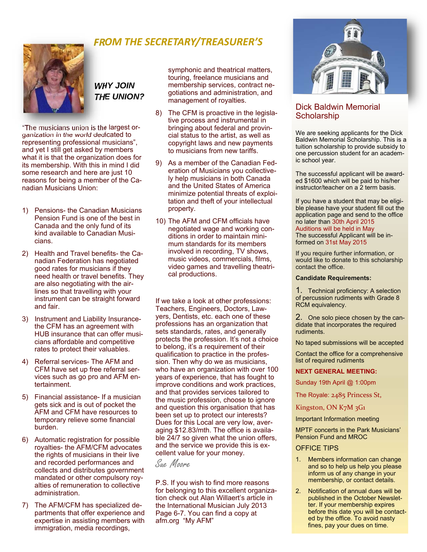

### *FROM THE SECRETARY/TREASURER'S*

### *WHY JOIN THE UNION?*

"The musicians union is the largest organization in the world dedicated to representing professional musicians", and yet I still get asked by members what it is that the organization does for its membership. With this in mind I did some research and here are just 10 reasons for being a member of the Canadian Musicians Union:

- 1) Pensions- the Canadian Musicians Pension Fund is one of the best in Canada and the only fund of its kind available to Canadian Musicians.
- 2) Health and Travel benefits- the Canadian Federation has negotiated good rates for musicians if they need health or travel benefits. They are also negotiating with the airlines so that travelling with your instrument can be straight forward and fair.
- 3) Instrument and Liability Insurancethe CFM has an agreement with HUB insurance that can offer musicians affordable and competitive rates to protect their valuables.
- 4) Referral services- The AFM and CFM have set up free referral services such as go pro and AFM entertainment.
- 5) Financial assistance- If a musician gets sick and is out of pocket the AFM and CFM have resources to temporary relieve some financial burden.
- 6) Automatic registration for possible royalties- the AFM/CFM advocates the rights of musicians in their live and recorded performances and collects and distributes government mandated or other compulsory royalties of remuneration to collective administration.
- 7) The AFM/CFM has specialized departments that offer experience and expertise in assisting members with immigration, media recordings,

symphonic and theatrical matters, touring, freelance musicians and membership services, contract negotiations and administration, and management of royalties.

- 8) The CFM is proactive in the legislative process and instrumental in bringing about federal and provincial status to the artist, as well as copyright laws and new payments to musicians from new tariffs.
- 9) As a member of the Canadian Federation of Musicians you collectively help musicians in both Canada and the United States of America minimize potential threats of exploitation and theft of your intellectual property.
- 10) The AFM and CFM officials have negotiated wage and working conditions in order to maintain minimum standards for its members involved in recording, TV shows, music videos, commercials, films, video games and travelling theatrical productions.

If we take a look at other professions: Teachers, Engineers, Doctors, Lawyers, Dentists, etc. each one of these professions has an organization that sets standards, rates, and generally protects the profession. It's not a choice to belong, it's a requirement of their qualification to practice in the profession. Then why do we as musicians, who have an organization with over 100 years of experience, that has fought to improve conditions and work practices, and that provides services tailored to the music profession, choose to ignore and question this organisation that has been set up to protect our interests? Dues for this Local are very low, averaging \$12.83/mth. The office is available 24/7 so given what the union offers, and the service we provide this is excellent value for your money.

Sue Moore

P.S. If you wish to find more reasons for belonging to this excellent organization check out Alan Willaert's article in the International Musician July 2013 Page 6-7. You can find a copy at afm.org "My AFM"



#### Dick Baldwin Memorial **Scholarship**

We are seeking applicants for the Dick Baldwin Memorial Scholarship. This is a tuition scholarship to provide subsidy to one percussion student for an academic school year.

The successful applicant will be awarded \$1600 which will be paid to his/her instructor/teacher on a 2 term basis.

If you have a student that may be eligible please have your student fill out the application page and send to the office no later than 30th April 2015 Auditions will be held in May The successful Applicant will be informed on 31st May 2015

If you require further information, or would like to donate to this scholarship contact the office.

#### **Candidate Requirements:**

1. Technical proficiency: A selection of percussion rudiments with Grade 8 RCM equivalency.

2. One solo piece chosen by the candidate that incorporates the required rudiments.

No taped submissions will be accepted

Contact the office for a comprehensive list of required rudiments

#### **NEXT GENERAL MEETING:**

Sunday 19th April @ 1:00pm

The Royale: 2485 Princess St,

Kingston, ON K7M 3G1

Important Information meeting

MPTF concerts in the Park Musicians' Pension Fund and MROC

#### OFFICE TIPS

- 1. Members information can change and so to help us help you please inform us of any change in your membership, or contact details.
- 2. Notification of annual dues will be published in the October Newsletter. If your membership expires before this date you will be contacted by the office. To avoid nasty fines, pay your dues on time.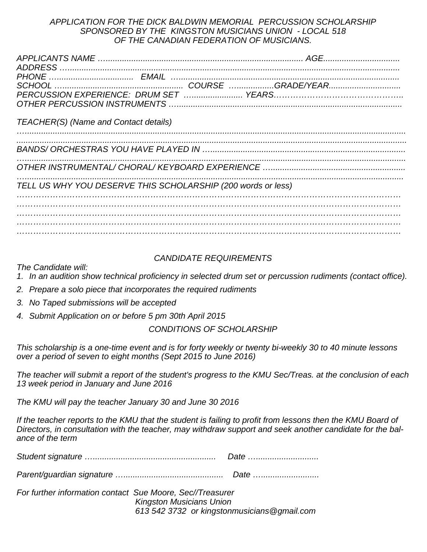#### *APPLICATION FOR THE DICK BALDWIN MEMORIAL PERCUSSION SCHOLARSHIP SPONSORED BY THE KINGSTON MUSICIANS UNION - LOCAL 518 OF THE CANADIAN FEDERATION OF MUSICIANS.*

| TEACHER(S) (Name and Contact details)                        |  |  |
|--------------------------------------------------------------|--|--|
|                                                              |  |  |
|                                                              |  |  |
| TELL US WHY YOU DESERVE THIS SCHOLARSHIP (200 words or less) |  |  |
|                                                              |  |  |
|                                                              |  |  |

#### *CANDIDATE REQUIREMENTS*

*The Candidate will:* 

*1. In an audition show technical proficiency in selected drum set or percussion rudiments (contact office).* 

- *2. Prepare a solo piece that incorporates the required rudiments*
- *3. No Taped submissions will be accepted*
- *4. Submit Application on or before 5 pm 30th April 2015*

#### *CONDITIONS OF SCHOLARSHIP*

*This scholarship is a one-time event and is for forty weekly or twenty bi-weekly 30 to 40 minute lessons over a period of seven to eight months (Sept 2015 to June 2016)* 

*The teacher will submit a report of the student's progress to the KMU Sec/Treas. at the conclusion of each 13 week period in January and June 2016* 

*The KMU will pay the teacher January 30 and June 30 2016* 

*If the teacher reports to the KMU that the student is failing to profit from lessons then the KMU Board of Directors, in consultation with the teacher, may withdraw support and seek another candidate for the balance of the term* 

|  | <i>⊔ale …………………………</i> |
|--|------------------------|
|--|------------------------|

*Parent/guardian signature …........................................... Date ….........................* 

*For further information contact Sue Moore, Sec//Treasurer Kingston Musicians Union 613 542 3732 or kingstonmusicians@gmail.com*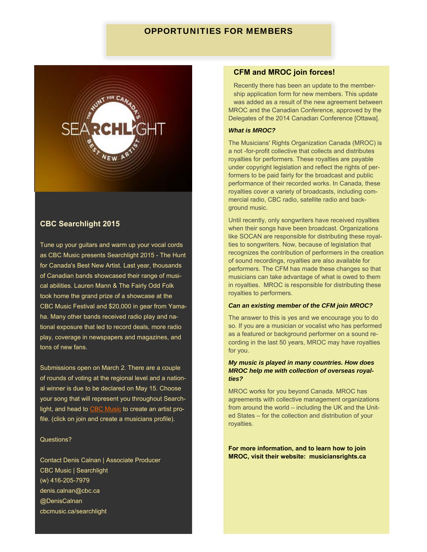#### OPPORTUNITIES FOR MEMBERS



#### **CBC Searchlight 2015**

Tune up your guitars and warm up your vocal cords as CBC Music presents Searchlight 2015 - The Hunt for Canada's Best New Artist. Last year, thousands of Canadian bands showcased their range of musical abilities. Lauren Mann & The Fairly Odd Folk took home the grand prize of a showcase at the CBC Music Festival and \$20,000 in gear from Yamaha. Many other bands received radio play and national exposure that led to record deals, more radio play, coverage in newspapers and magazines, and tons of new fans.

Submissions open on March 2. There are a couple of rounds of voting at the regional level and a national winner is due to be declared on May 15. Choose your song that will represent you throughout Searchlight, and head to CBC Music to create an artist profile. (click on join and create a musicians profile).

#### Questions?

Contact Denis Calnan | Associate Producer CBC Music | Searchlight (w) 416-205-7979 denis.calnan@cbc.ca @DenisCalnan cbcmusic.ca/searchlight

#### **CFM and MROC join forces!**

Recently there has been an update to the membership application form for new members. This update was added as a result of the new agreement between MROC and the Canadian Conference, approved by the Delegates of the 2014 Canadian Conference [Ottawa].

#### *What is MROC?*

The Musicians' Rights Organization Canada (MROC) is a not -for-profit collective that collects and distributes royalties for performers. These royalties are payable under copyright legislation and reflect the rights of performers to be paid fairly for the broadcast and public performance of their recorded works. In Canada, these royalties cover a variety of broadcasts, including commercial radio, CBC radio, satellite radio and background music.

Until recently, only songwriters have received royalties when their songs have been broadcast. Organizations like SOCAN are responsible for distributing these royalties to songwriters. Now, because of legislation that recognizes the contribution of performers in the creation of sound recordings, royalties are also available for performers. The CFM has made these changes so that musicians can take advantage of what is owed to them in royalties. MROC is responsible for distributing these royalties to performers.

#### *Can an existing member of the CFM join MROC?*

The answer to this is yes and we encourage you to do so. If you are a musician or vocalist who has performed as a featured or background performer on a sound recording in the last 50 years, MROC may have royalties for you.

#### *My music is played in many countries. How does MROC help me with collection of overseas royalties?*

MROC works for you beyond Canada. MROC has agreements with collective management organizations from around the world – including the UK and the United States – for the collection and distribution of your royalties.

#### **For more information, and to learn how to join MROC, visit their website: musiciansrights.ca**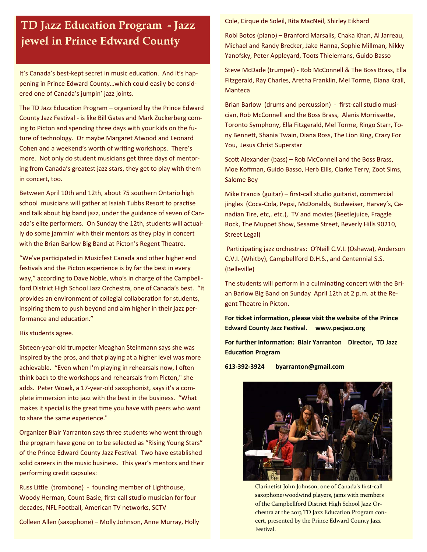## **TD Jazz Education Program - Jazz jewel in Prince Edward County**

It's Canada's best-kept secret in music education. And it's happening in Prince Edward County…which could easily be consid‐ ered one of Canada's jumpin' jazz joints.

The TD Jazz Education Program – organized by the Prince Edward County Jazz Festival - is like Bill Gates and Mark Zuckerberg coming to Picton and spending three days with your kids on the fu‐ ture of technology. Or maybe Margaret Atwood and Leonard Cohen and a weekend's worth of writing workshops. There's more. Not only do student musicians get three days of mentoring from Canada's greatest jazz stars, they get to play with them in concert, too.

Between April 10th and 12th, about 75 southern Ontario high school musicians will gather at Isaiah Tubbs Resort to practise and talk about big band jazz, under the guidance of seven of Can‐ ada's elite performers. On Sunday the 12th, students will actual‐ ly do some jammin' with their mentors as they play in concert with the Brian Barlow Big Band at Picton's Regent Theatre.

"We've participated in Musicfest Canada and other higher end festivals and the Picton experience is by far the best in every way," according to Dave Noble, who's in charge of the Campbell‐ ford District High School Jazz Orchestra, one of Canada's best. "It provides an environment of collegial collaboration for students, inspiring them to push beyond and aim higher in their jazz per‐ formance and education."

#### His students agree.

Sixteen‐year‐old trumpeter Meaghan Steinmann says she was inspired by the pros, and that playing at a higher level was more achievable. "Even when I'm playing in rehearsals now, I often think back to the workshops and rehearsals from Picton," she adds. Peter Wowk, a 17‐year‐old saxophonist, says it's a com‐ plete immersion into jazz with the best in the business. "What makes it special is the great time you have with peers who want to share the same experience."

Organizer Blair Yarranton says three students who went through the program have gone on to be selected as "Rising Young Stars" of the Prince Edward County Jazz Festival. Two have established solid careers in the music business. This year's mentors and their performing credit capsules:

Russ Little (trombone) - founding member of Lighthouse, Woody Herman, Count Basie, first‐call studio musician for four decades, NFL Football, American TV networks, SCTV

Colleen Allen (saxophone) – Molly Johnson, Anne Murray, Holly

Cole, Cirque de Soleil, Rita MacNeil, Shirley Eikhard

Robi Botos (piano) – Branford Marsalis, Chaka Khan, Al Jarreau, Michael and Randy Brecker, Jake Hanna, Sophie Millman, Nikky Yanofsky, Peter Appleyard, Toots Thielemans, Guido Basso

Steve McDade (trumpet) ‐ Rob McConnell & The Boss Brass, Ella Fitzgerald, Ray Charles, Aretha Franklin, Mel Torme, Diana Krall, **Manteca** 

Brian Barlow (drums and percussion) ‐ first‐call studio musi‐ cian, Rob McConnell and the Boss Brass, Alanis Morrissette, Toronto Symphony, Ella Fitzgerald, Mel Torme, Ringo Starr, To‐ ny Bennett, Shania Twain, Diana Ross, The Lion King, Crazy For You, Jesus Christ Superstar

Scott Alexander (bass) – Rob McConnell and the Boss Brass, Moe Koffman, Guido Basso, Herb Ellis, Clarke Terry, Zoot Sims, Salome Bey

Mike Francis (guitar) – first‐call studio guitarist, commercial jingles (Coca‐Cola, Pepsi, McDonalds, Budweiser, Harvey's, Ca‐ nadian Tire, etc,. etc.), TV and movies (Beetlejuice, Fraggle Rock, The Muppet Show, Sesame Street, Beverly Hills 90210, Street Legal)

Participating jazz orchestras: O'Neill C.V.I. (Oshawa), Anderson C.V.I. (Whitby), Campbellford D.H.S., and Centennial S.S. (Belleville)

The students will perform in a culminating concert with the Brian Barlow Big Band on Sunday April 12th at 2 p.m. at the Re‐ gent Theatre in Picton.

**For ticket information, please visit the website of the Prince Edward County Jazz Festival. www.pecjazz.org** 

**For further informaƟon: Blair Yarranton Director, TD Jazz EducaƟon Program** 

**613‐392‐3924 byarranton@gmail.com** 



Clarinetist John Johnson, one of Canada's first‐call saxophone/woodwind players, jams with members of the Campbellford District High School Jazz Or‐ chestra at the 2013 TD Jazz Education Program con‐ cert, presented by the Prince Edward County Jazz Festival.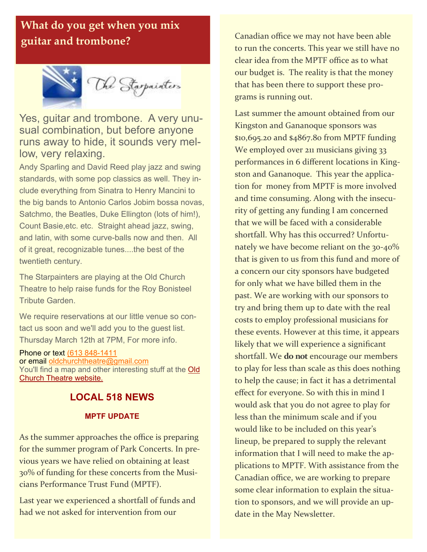### **What do you get when you mix guitar and trombone? Canadian office we may not have been able**



Yes, guitar and trombone. A very unusual combination, but before anyone runs away to hide, it sounds very mellow, very relaxing.

Andy Sparling and David Reed play jazz and swing standards, with some pop classics as well. They include everything from Sinatra to Henry Mancini to the big bands to Antonio Carlos Jobim bossa novas, Satchmo, the Beatles, Duke Ellington (lots of him!), Count Basie,etc. etc. Straight ahead jazz, swing, and latin, with some curve-balls now and then. All of it great, recognizable tunes....the best of the twentieth century.

The Starpainters are playing at the Old Church Theatre to help raise funds for the Roy Bonisteel Tribute Garden.

We require reservations at our little venue so contact us soon and we'll add you to the guest list. Thursday March 12th at 7PM, For more info.

Phone or text (613 848-1411 or email oldchurchtheatre@gmail.com You'll find a map and other interesting stuff at the Old Church Theatre website.

### **LOCAL 518 NEWS**

#### **MPTF UPDATE**

As the summer approaches the office is preparing for the summer program of Park Concerts. In pre‐ vious years we have relied on obtaining at least 30% of funding for these concerts from the Musi‐ cians Performance Trust Fund (MPTF).

Last year we experienced a shortfall of funds and had we not asked for intervention from our

to run the concerts. This year we still have no clear idea from the MPTF office as to what our budget is. The reality is that the money that has been there to support these pro‐ grams is running out.

Last summer the amount obtained from our Kingston and Gananoque sponsors was \$10,695.20 and \$4867.80 from MPTF funding We employed over 211 musicians giving 33 performances in 6 different locations in Kingston and Gananoque. This year the applica‐ tion for money from MPTF is more involved and time consuming. Along with the insecurity of getting any funding I am concerned that we will be faced with a considerable shortfall. Why has this occurred? Unfortunately we have become reliant on the 30-40% that is given to us from this fund and more of a concern our city sponsors have budgeted for only what we have billed them in the past. We are working with our sponsors to try and bring them up to date with the real costs to employ professional musicians for these events. However at this time, it appears likely that we will experience a significant shortfall. We **do not** encourage our members to play for less than scale as this does nothing to help the cause; in fact it has a detrimental effect for everyone. So with this in mind I would ask that you do not agree to play for less than the minimum scale and if you would like to be included on this year's lineup, be prepared to supply the relevant information that I will need to make the applications to MPTF. With assistance from the Canadian office, we are working to prepare some clear information to explain the situation to sponsors, and we will provide an up‐ date in the May Newsletter.